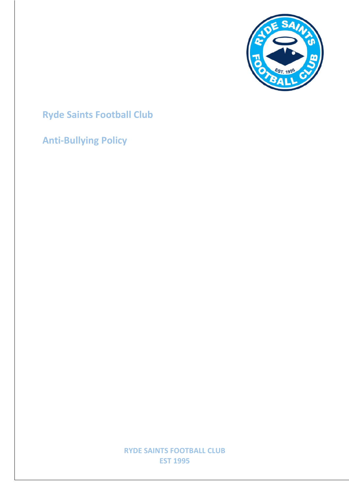

# **Ryde Saints Football Club**

**Anti-Bullying Policy**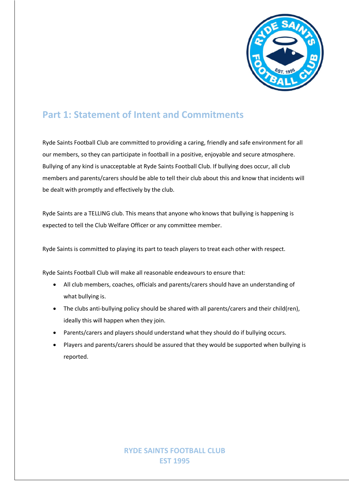

### **Part 1: Statement of Intent and Commitments**

Ryde Saints Football Club are committed to providing a caring, friendly and safe environment for all our members, so they can participate in football in a positive, enjoyable and secure atmosphere. Bullying of any kind is unacceptable at Ryde Saints Football Club. If bullying does occur, all club members and parents/carers should be able to tell their club about this and know that incidents will be dealt with promptly and effectively by the club.

Ryde Saints are a TELLING club. This means that anyone who knows that bullying is happening is expected to tell the Club Welfare Officer or any committee member.

Ryde Saints is committed to playing its part to teach players to treat each other with respect.

Ryde Saints Football Club will make all reasonable endeavours to ensure that:

- All club members, coaches, officials and parents/carers should have an understanding of what bullying is.
- The clubs anti-bullying policy should be shared with all parents/carers and their child(ren), ideally this will happen when they join.
- Parents/carers and players should understand what they should do if bullying occurs.
- Players and parents/carers should be assured that they would be supported when bullying is reported.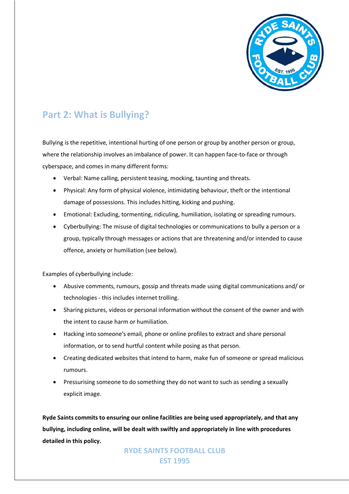

# **Part 2: What is Bullying?**

Bullying is the repetitive, intentional hurting of one person or group by another person or group, where the relationship involves an imbalance of power. It can happen face-to-face or through cyberspace, and comes in many different forms:

- Verbal: Name calling, persistent teasing, mocking, taunting and threats.
- Physical: Any form of physical violence, intimidating behaviour, theft or the intentional damage of possessions. This includes hitting, kicking and pushing.
- Emotional: Excluding, tormenting, ridiculing, humiliation, isolating or spreading rumours.
- Cyberbullying: The misuse of digital technologies or communications to bully a person or a group, typically through messages or actions that are threatening and/or intended to cause offence, anxiety or humiliation (see below).

Examples of cyberbullying include:

- Abusive comments, rumours, gossip and threats made using digital communications and/ or technologies - this includes internet trolling.
- Sharing pictures, videos or personal information without the consent of the owner and with the intent to cause harm or humiliation.
- Hacking into someone's email, phone or online profiles to extract and share personal information, or to send hurtful content while posing as that person.
- Creating dedicated websites that intend to harm, make fun of someone or spread malicious rumours.
- Pressurising someone to do something they do not want to such as sending a sexually explicit image.

**Ryde Saints commits to ensuring our online facilities are being used appropriately, and that any bullying, including online, will be dealt with swiftly and appropriately in line with procedures detailed in this policy.**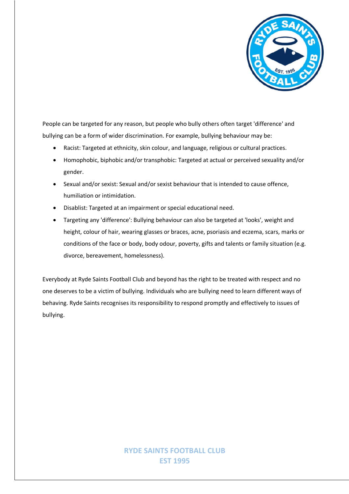

People can be targeted for any reason, but people who bully others often target 'difference' and bullying can be a form of wider discrimination. For example, bullying behaviour may be:

- Racist: Targeted at ethnicity, skin colour, and language, religious or cultural practices.
- Homophobic, biphobic and/or transphobic: Targeted at actual or perceived sexuality and/or gender.
- Sexual and/or sexist: Sexual and/or sexist behaviour that is intended to cause offence, humiliation or intimidation.
- Disablist: Targeted at an impairment or special educational need.
- Targeting any 'difference': Bullying behaviour can also be targeted at 'looks', weight and height, colour of hair, wearing glasses or braces, acne, psoriasis and eczema, scars, marks or conditions of the face or body, body odour, poverty, gifts and talents or family situation (e.g. divorce, bereavement, homelessness).

Everybody at Ryde Saints Football Club and beyond has the right to be treated with respect and no one deserves to be a victim of bullying. Individuals who are bullying need to learn different ways of behaving. Ryde Saints recognises its responsibility to respond promptly and effectively to issues of bullying.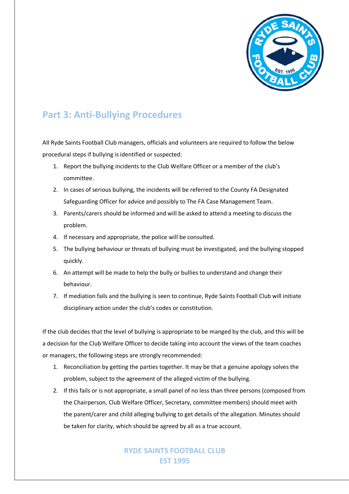

## **Part 3: Anti-Bullying Procedures**

All Ryde Saints Football Club managers, officials and volunteers are required to follow the below procedural steps if bullying is identified or suspected:

- 1. Report the bullying incidents to the Club Welfare Officer or a member of the club's committee.
- 2. In cases of serious bullying, the incidents will be referred to the County FA Designated Safeguarding Officer for advice and possibly to The FA Case Management Team.
- 3. Parents/carers should be informed and will be asked to attend a meeting to discuss the problem.
- 4. If necessary and appropriate, the police will be consulted.
- 5. The bullying behaviour or threats of bullying must be investigated, and the bullying stopped quickly.
- 6. An attempt will be made to help the bully or bullies to understand and change their behaviour.
- 7. If mediation fails and the bullying is seen to continue, Ryde Saints Football Club will initiate disciplinary action under the club's codes or constitution.

If the club decides that the level of bullying is appropriate to be manged by the club, and this will be a decision for the Club Welfare Officer to decide taking into account the views of the team coaches or managers, the following steps are strongly recommended:

- 1. Reconciliation by getting the parties together. It may be that a genuine apology solves the problem, subject to the agreement of the alleged victim of the bullying.
- 2. If this fails or is not appropriate, a small panel of no less than three persons (composed from the Chairperson, Club Welfare Officer, Secretary, committee members) should meet with the parent/carer and child alleging bullying to get details of the allegation. Minutes should be taken for clarity, which should be agreed by all as a true account.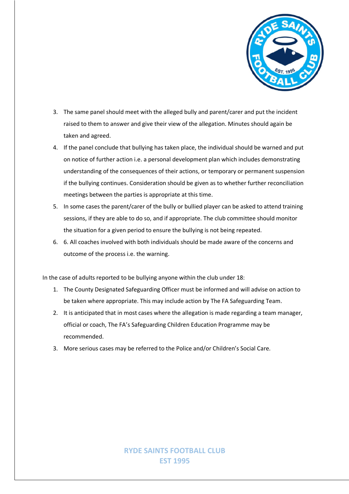

- 3. The same panel should meet with the alleged bully and parent/carer and put the incident raised to them to answer and give their view of the allegation. Minutes should again be taken and agreed.
- 4. If the panel conclude that bullying has taken place, the individual should be warned and put on notice of further action i.e. a personal development plan which includes demonstrating understanding of the consequences of their actions, or temporary or permanent suspension if the bullying continues. Consideration should be given as to whether further reconciliation meetings between the parties is appropriate at this time.
- 5. In some cases the parent/carer of the bully or bullied player can be asked to attend training sessions, if they are able to do so, and if appropriate. The club committee should monitor the situation for a given period to ensure the bullying is not being repeated.
- 6. 6. All coaches involved with both individuals should be made aware of the concerns and outcome of the process i.e. the warning.

In the case of adults reported to be bullying anyone within the club under 18:

- 1. The County Designated Safeguarding Officer must be informed and will advise on action to be taken where appropriate. This may include action by The FA Safeguarding Team.
- 2. It is anticipated that in most cases where the allegation is made regarding a team manager, official or coach, The FA's Safeguarding Children Education Programme may be recommended.
- 3. More serious cases may be referred to the Police and/or Children's Social Care.